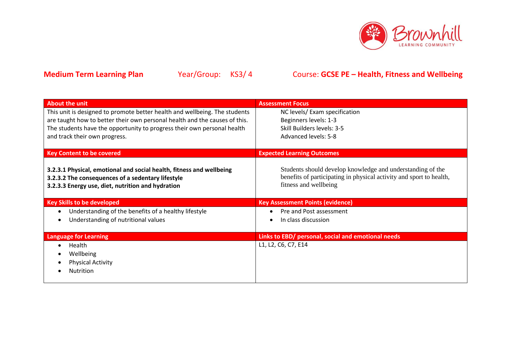

| <b>About the unit</b>                                                                                                                                                          | <b>Assessment Focus</b>                                                                                                                                    |
|--------------------------------------------------------------------------------------------------------------------------------------------------------------------------------|------------------------------------------------------------------------------------------------------------------------------------------------------------|
| This unit is designed to promote better health and wellbeing. The students                                                                                                     | NC levels/ Exam specification                                                                                                                              |
| are taught how to better their own personal health and the causes of this.                                                                                                     | Beginners levels: 1-3                                                                                                                                      |
| The students have the opportunity to progress their own personal health                                                                                                        | Skill Builders levels: 3-5                                                                                                                                 |
| and track their own progress.                                                                                                                                                  | Advanced levels: 5-8                                                                                                                                       |
|                                                                                                                                                                                |                                                                                                                                                            |
| <b>Key Content to be covered</b>                                                                                                                                               | <b>Expected Learning Outcomes</b>                                                                                                                          |
| 3.2.3.1 Physical, emotional and social health, fitness and wellbeing<br>3.2.3.2 The consequences of a sedentary lifestyle<br>3.2.3.3 Energy use, diet, nutrition and hydration | Students should develop knowledge and understanding of the<br>benefits of participating in physical activity and sport to health,<br>fitness and wellbeing |
| <b>Key Skills to be developed</b>                                                                                                                                              | <b>Key Assessment Points (evidence)</b>                                                                                                                    |
| Understanding of the benefits of a healthy lifestyle<br>$\bullet$                                                                                                              | Pre and Post assessment                                                                                                                                    |
| Understanding of nutritional values                                                                                                                                            |                                                                                                                                                            |
|                                                                                                                                                                                | In class discussion                                                                                                                                        |
|                                                                                                                                                                                |                                                                                                                                                            |
| <b>Language for Learning</b>                                                                                                                                                   | Links to EBD/ personal, social and emotional needs                                                                                                         |
| Health                                                                                                                                                                         | L1, L2, C6, C7, E14                                                                                                                                        |
| Wellbeing                                                                                                                                                                      |                                                                                                                                                            |
| <b>Physical Activity</b>                                                                                                                                                       |                                                                                                                                                            |
| Nutrition                                                                                                                                                                      |                                                                                                                                                            |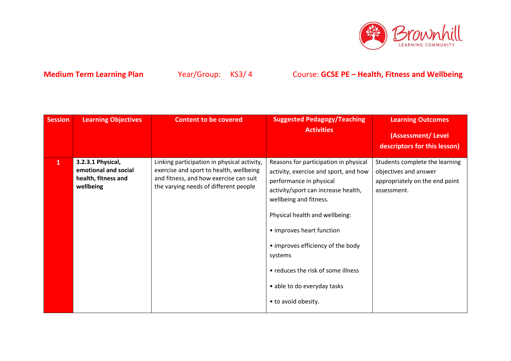

| <b>Session</b> | <b>Learning Objectives</b>                                                    | <b>Content to be covered</b>                                                                                                                                              | <b>Suggested Pedagogy/Teaching</b><br><b>Activities</b>                                                                                                                                                                                                                                                                                                                               | <b>Learning Outcomes</b><br>(Assessment/Level                                                            |
|----------------|-------------------------------------------------------------------------------|---------------------------------------------------------------------------------------------------------------------------------------------------------------------------|---------------------------------------------------------------------------------------------------------------------------------------------------------------------------------------------------------------------------------------------------------------------------------------------------------------------------------------------------------------------------------------|----------------------------------------------------------------------------------------------------------|
|                |                                                                               |                                                                                                                                                                           |                                                                                                                                                                                                                                                                                                                                                                                       | descriptors for this lesson)                                                                             |
| $\mathbf{1}$   | 3.2.3.1 Physical,<br>emotional and social<br>health, fitness and<br>wellbeing | Linking participation in physical activity,<br>exercise and sport to health, wellbeing<br>and fitness, and how exercise can suit<br>the varying needs of different people | Reasons for participation in physical<br>activity, exercise and sport, and how<br>performance in physical<br>activity/sport can increase health,<br>wellbeing and fitness.<br>Physical health and wellbeing:<br>• improves heart function<br>• improves efficiency of the body<br>systems<br>• reduces the risk of some illness<br>• able to do everyday tasks<br>• to avoid obesity. | Students complete the learning<br>objectives and answer<br>appropriately on the end point<br>assessment. |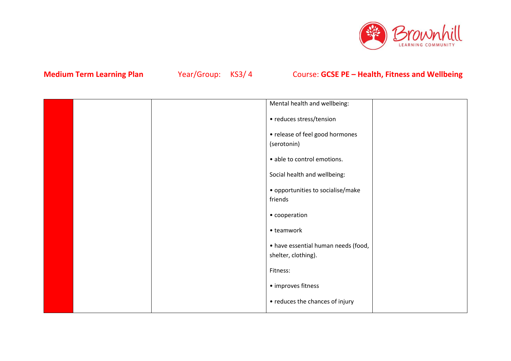

|  | Mental health and wellbeing:        |  |
|--|-------------------------------------|--|
|  | • reduces stress/tension            |  |
|  | • release of feel good hormones     |  |
|  | (serotonin)                         |  |
|  | · able to control emotions.         |  |
|  | Social health and wellbeing:        |  |
|  | • opportunities to socialise/make   |  |
|  | friends                             |  |
|  | • cooperation                       |  |
|  | • teamwork                          |  |
|  | • have essential human needs (food, |  |
|  | shelter, clothing).                 |  |
|  | Fitness:                            |  |
|  | • improves fitness                  |  |
|  | • reduces the chances of injury     |  |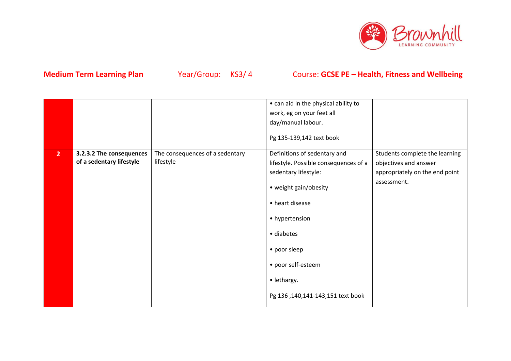

|                |                          |                                 | • can aid in the physical ability to  |                                |
|----------------|--------------------------|---------------------------------|---------------------------------------|--------------------------------|
|                |                          |                                 | work, eg on your feet all             |                                |
|                |                          |                                 | day/manual labour.                    |                                |
|                |                          |                                 | Pg 135-139,142 text book              |                                |
| 2 <sup>2</sup> | 3.2.3.2 The consequences | The consequences of a sedentary | Definitions of sedentary and          | Students complete the learning |
|                | of a sedentary lifestyle | lifestyle                       | lifestyle. Possible consequences of a | objectives and answer          |
|                |                          |                                 | sedentary lifestyle:                  | appropriately on the end point |
|                |                          |                                 | • weight gain/obesity                 | assessment.                    |
|                |                          |                                 | • heart disease                       |                                |
|                |                          |                                 | • hypertension                        |                                |
|                |                          |                                 | • diabetes                            |                                |
|                |                          |                                 | • poor sleep                          |                                |
|                |                          |                                 | • poor self-esteem                    |                                |
|                |                          |                                 | • lethargy.                           |                                |
|                |                          |                                 | Pg 136, 140, 141-143, 151 text book   |                                |
|                |                          |                                 |                                       |                                |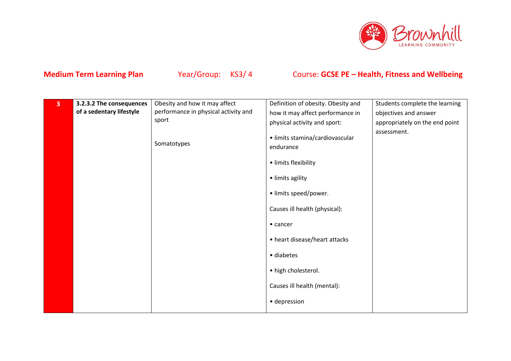

| $\overline{\mathbf{3}}$ | 3.2.3.2 The consequences | Obesity and how it may affect        | Definition of obesity. Obesity and                                                                                                                                                                                                                                          | Students complete the learning |
|-------------------------|--------------------------|--------------------------------------|-----------------------------------------------------------------------------------------------------------------------------------------------------------------------------------------------------------------------------------------------------------------------------|--------------------------------|
|                         | of a sedentary lifestyle | performance in physical activity and | how it may affect performance in                                                                                                                                                                                                                                            | objectives and answer          |
|                         |                          | sport                                | physical activity and sport:                                                                                                                                                                                                                                                | appropriately on the end point |
|                         |                          | Somatotypes                          | · limits stamina/cardiovascular<br>endurance<br>· limits flexibility<br>· limits agility<br>· limits speed/power.<br>Causes ill health (physical):<br>$\bullet$ cancer<br>• heart disease/heart attacks<br>· diabetes<br>• high cholesterol.<br>Causes ill health (mental): | assessment.                    |
|                         |                          |                                      |                                                                                                                                                                                                                                                                             |                                |
|                         |                          |                                      | · depression                                                                                                                                                                                                                                                                |                                |
|                         |                          |                                      |                                                                                                                                                                                                                                                                             |                                |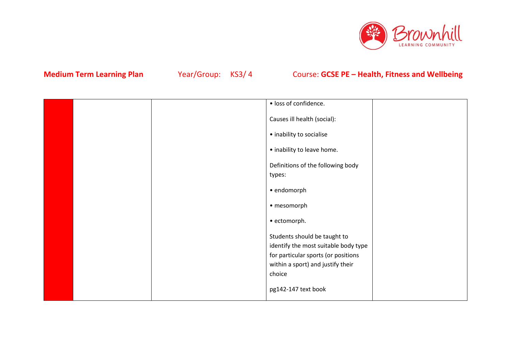

|  | · loss of confidence.                       |  |
|--|---------------------------------------------|--|
|  | Causes ill health (social):                 |  |
|  | • inability to socialise                    |  |
|  | • inability to leave home.                  |  |
|  | Definitions of the following body<br>types: |  |
|  | · endomorph                                 |  |
|  | • mesomorph                                 |  |
|  | · ectomorph.                                |  |
|  | Students should be taught to                |  |
|  | identify the most suitable body type        |  |
|  | for particular sports (or positions         |  |
|  | within a sport) and justify their           |  |
|  | choice                                      |  |
|  | pg142-147 text book                         |  |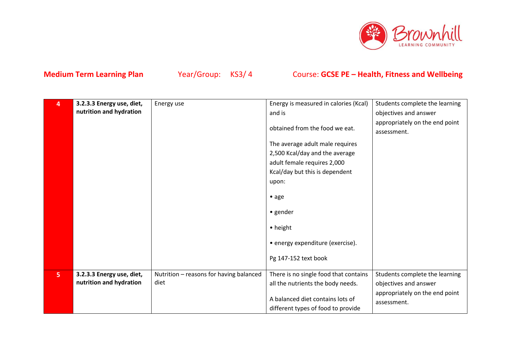

| 4              | 3.2.3.3 Energy use, diet, | Energy use                              | Energy is measured in calories (Kcal) | Students complete the learning |
|----------------|---------------------------|-----------------------------------------|---------------------------------------|--------------------------------|
|                | nutrition and hydration   |                                         | and is                                | objectives and answer          |
|                |                           |                                         |                                       | appropriately on the end point |
|                |                           |                                         | obtained from the food we eat.        | assessment.                    |
|                |                           |                                         | The average adult male requires       |                                |
|                |                           |                                         | 2,500 Kcal/day and the average        |                                |
|                |                           |                                         | adult female requires 2,000           |                                |
|                |                           |                                         | Kcal/day but this is dependent        |                                |
|                |                           |                                         | upon:                                 |                                |
|                |                           |                                         | $\bullet$ age                         |                                |
|                |                           |                                         |                                       |                                |
|                |                           |                                         | • gender                              |                                |
|                |                           |                                         | • height                              |                                |
|                |                           |                                         | • energy expenditure (exercise).      |                                |
|                |                           |                                         |                                       |                                |
|                |                           |                                         | Pg 147-152 text book                  |                                |
| 5 <sup>1</sup> | 3.2.3.3 Energy use, diet, | Nutrition - reasons for having balanced | There is no single food that contains | Students complete the learning |
|                | nutrition and hydration   | diet                                    | all the nutrients the body needs.     | objectives and answer          |
|                |                           |                                         |                                       | appropriately on the end point |
|                |                           |                                         | A balanced diet contains lots of      | assessment.                    |
|                |                           |                                         | different types of food to provide    |                                |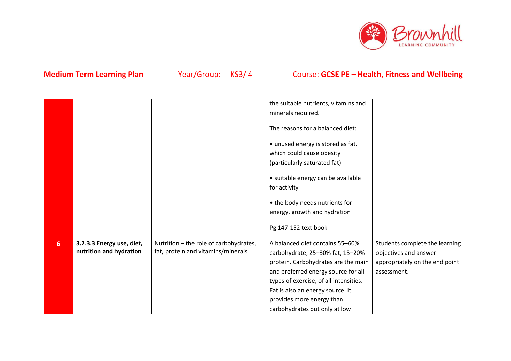

| minerals required.<br>The reasons for a balanced diet:<br>• unused energy is stored as fat,<br>which could cause obesity<br>(particularly saturated fat)<br>• suitable energy can be available<br>for activity<br>• the body needs nutrients for<br>energy, growth and hydration<br>Pg 147-152 text book<br>Nutrition - the role of carbohydrates,<br>A balanced diet contains 55-60%<br>3.2.3.3 Energy use, diet,<br>Students complete the learning<br>6 <sup>1</sup><br>nutrition and hydration<br>fat, protein and vitamins/minerals<br>objectives and answer<br>carbohydrate, 25-30% fat, 15-20%<br>protein. Carbohydrates are the main<br>appropriately on the end point<br>and preferred energy source for all<br>assessment. |  | the suitable nutrients, vitamins and   |  |
|-------------------------------------------------------------------------------------------------------------------------------------------------------------------------------------------------------------------------------------------------------------------------------------------------------------------------------------------------------------------------------------------------------------------------------------------------------------------------------------------------------------------------------------------------------------------------------------------------------------------------------------------------------------------------------------------------------------------------------------|--|----------------------------------------|--|
|                                                                                                                                                                                                                                                                                                                                                                                                                                                                                                                                                                                                                                                                                                                                     |  |                                        |  |
|                                                                                                                                                                                                                                                                                                                                                                                                                                                                                                                                                                                                                                                                                                                                     |  |                                        |  |
|                                                                                                                                                                                                                                                                                                                                                                                                                                                                                                                                                                                                                                                                                                                                     |  |                                        |  |
|                                                                                                                                                                                                                                                                                                                                                                                                                                                                                                                                                                                                                                                                                                                                     |  |                                        |  |
|                                                                                                                                                                                                                                                                                                                                                                                                                                                                                                                                                                                                                                                                                                                                     |  |                                        |  |
|                                                                                                                                                                                                                                                                                                                                                                                                                                                                                                                                                                                                                                                                                                                                     |  |                                        |  |
|                                                                                                                                                                                                                                                                                                                                                                                                                                                                                                                                                                                                                                                                                                                                     |  |                                        |  |
|                                                                                                                                                                                                                                                                                                                                                                                                                                                                                                                                                                                                                                                                                                                                     |  |                                        |  |
|                                                                                                                                                                                                                                                                                                                                                                                                                                                                                                                                                                                                                                                                                                                                     |  |                                        |  |
|                                                                                                                                                                                                                                                                                                                                                                                                                                                                                                                                                                                                                                                                                                                                     |  |                                        |  |
|                                                                                                                                                                                                                                                                                                                                                                                                                                                                                                                                                                                                                                                                                                                                     |  |                                        |  |
|                                                                                                                                                                                                                                                                                                                                                                                                                                                                                                                                                                                                                                                                                                                                     |  |                                        |  |
|                                                                                                                                                                                                                                                                                                                                                                                                                                                                                                                                                                                                                                                                                                                                     |  |                                        |  |
|                                                                                                                                                                                                                                                                                                                                                                                                                                                                                                                                                                                                                                                                                                                                     |  |                                        |  |
|                                                                                                                                                                                                                                                                                                                                                                                                                                                                                                                                                                                                                                                                                                                                     |  | types of exercise, of all intensities. |  |
| Fat is also an energy source. It                                                                                                                                                                                                                                                                                                                                                                                                                                                                                                                                                                                                                                                                                                    |  |                                        |  |
| provides more energy than                                                                                                                                                                                                                                                                                                                                                                                                                                                                                                                                                                                                                                                                                                           |  |                                        |  |
| carbohydrates but only at low                                                                                                                                                                                                                                                                                                                                                                                                                                                                                                                                                                                                                                                                                                       |  |                                        |  |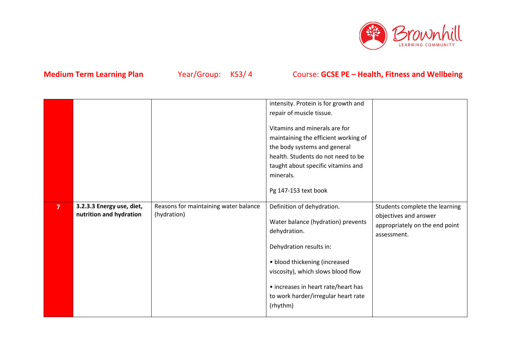

|                |                           |                                       | intensity. Protein is for growth and |                                |
|----------------|---------------------------|---------------------------------------|--------------------------------------|--------------------------------|
|                |                           |                                       | repair of muscle tissue.             |                                |
|                |                           |                                       |                                      |                                |
|                |                           |                                       | Vitamins and minerals are for        |                                |
|                |                           |                                       | maintaining the efficient working of |                                |
|                |                           |                                       | the body systems and general         |                                |
|                |                           |                                       | health. Students do not need to be   |                                |
|                |                           |                                       | taught about specific vitamins and   |                                |
|                |                           |                                       | minerals.                            |                                |
|                |                           |                                       |                                      |                                |
|                |                           |                                       | Pg 147-153 text book                 |                                |
|                |                           |                                       |                                      |                                |
| $\overline{7}$ | 3.2.3.3 Energy use, diet, | Reasons for maintaining water balance | Definition of dehydration.           | Students complete the learning |
|                | nutrition and hydration   | (hydration)                           | Water balance (hydration) prevents   | objectives and answer          |
|                |                           |                                       | dehydration.                         | appropriately on the end point |
|                |                           |                                       |                                      | assessment.                    |
|                |                           |                                       | Dehydration results in:              |                                |
|                |                           |                                       |                                      |                                |
|                |                           |                                       | • blood thickening (increased        |                                |
|                |                           |                                       | viscosity), which slows blood flow   |                                |
|                |                           |                                       |                                      |                                |
|                |                           |                                       |                                      |                                |
|                |                           |                                       | • increases in heart rate/heart has  |                                |
|                |                           |                                       | to work harder/irregular heart rate  |                                |
|                |                           |                                       | (rhythm)                             |                                |